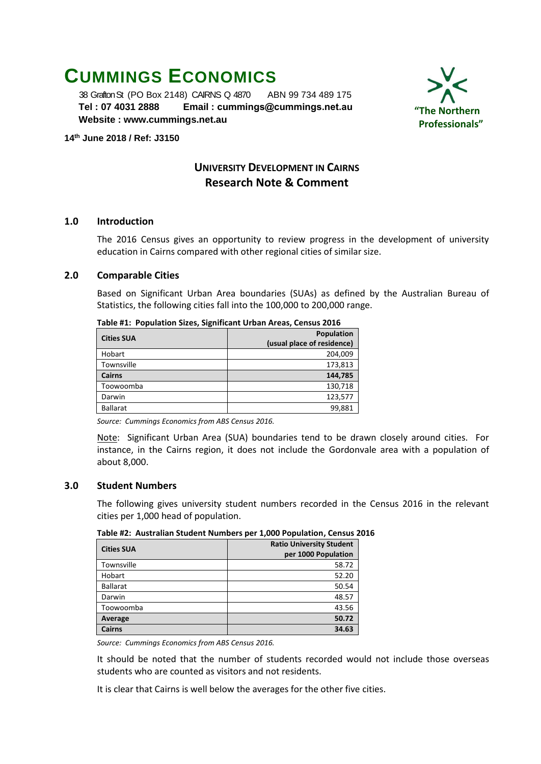# **CUMMINGS ECONOMICS**

 38 Grafton St (PO Box 2148) CAIRNS Q 4870 ABN 99 734 489 175  **Tel : 07 4031 2888 Email : [cummings@cummings.net.au](mailto:cummings@cummings.net.au) Website : www.cummings.net.au**



#### **14 th June 2018 / Ref: J3150**

# **UNIVERSITY DEVELOPMENT IN CAIRNS Research Note & Comment**

# **1.0 Introduction**

The 2016 Census gives an opportunity to review progress in the development of university education in Cairns compared with other regional cities of similar size.

# **2.0 Comparable Cities**

Based on Significant Urban Area boundaries (SUAs) as defined by the Australian Bureau of Statistics, the following cities fall into the 100,000 to 200,000 range.

| <b>Cities SUA</b> | Population<br>(usual place of residence) |
|-------------------|------------------------------------------|
| Hobart            | 204,009                                  |
| Townsville        | 173,813                                  |
| <b>Cairns</b>     | 144,785                                  |
| Toowoomba         | 130,718                                  |
| Darwin            | 123,577                                  |
| <b>Ballarat</b>   | 99,881                                   |
|                   |                                          |

**Table #1: Population Sizes, Significant Urban Areas, Census 2016**

*Source: Cummings Economics from ABS Census 2016.*

Note: Significant Urban Area (SUA) boundaries tend to be drawn closely around cities. For instance, in the Cairns region, it does not include the Gordonvale area with a population of about 8,000.

# **3.0 Student Numbers**

The following gives university student numbers recorded in the Census 2016 in the relevant cities per 1,000 head of population.

| <b>Cities SUA</b> | <b>Ratio University Student</b><br>per 1000 Population |
|-------------------|--------------------------------------------------------|
| Townsville        | 58.72                                                  |
| Hobart            | 52.20                                                  |
| <b>Ballarat</b>   | 50.54                                                  |
| Darwin            | 48.57                                                  |
| Toowoomba         | 43.56                                                  |
| Average           | 50.72                                                  |
| <b>Cairns</b>     | 34.63                                                  |

**Table #2: Australian Student Numbers per 1,000 Population, Census 2016**

*Source: Cummings Economics from ABS Census 2016.*

It should be noted that the number of students recorded would not include those overseas students who are counted as visitors and not residents.

It is clear that Cairns is well below the averages for the other five cities.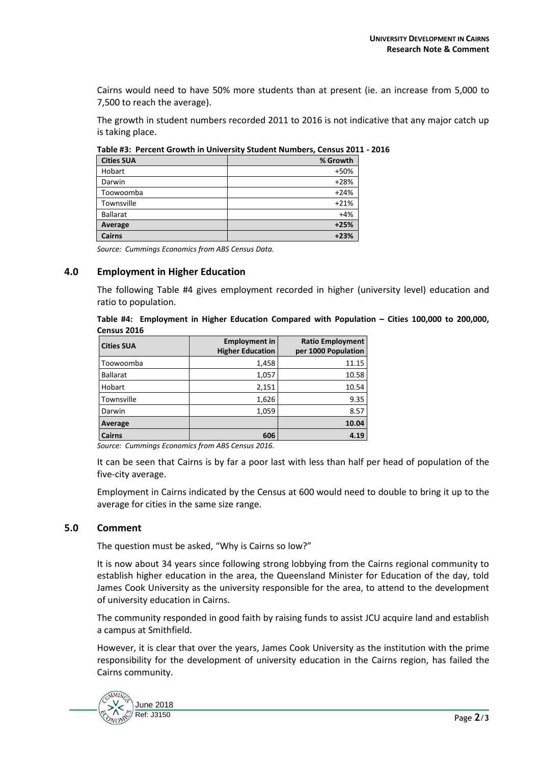Cairns would need to have 50% more students than at present (ie. an increase from 5,000 to 7,500 to reach the average).

The growth in student numbers recorded 2011 to 2016 is not indicative that any major catch up is taking place.

|  | Table #3: Percent Growth in University Student Numbers, Census 2011 - 2016 |  |  |  |  |
|--|----------------------------------------------------------------------------|--|--|--|--|
|--|----------------------------------------------------------------------------|--|--|--|--|

| <b>Cities SUA</b> | % Growth |
|-------------------|----------|
| Hobart            | +50%     |
| Darwin            | $+28%$   |
| Toowoomba         | $+24%$   |
| Townsville        | $+21%$   |
| <b>Ballarat</b>   | $+4%$    |
| Average           | $+25%$   |
| <b>Cairns</b>     | $+23%$   |

*Source: Cummings Economics from ABS Census Data.*

# **4.0 Employment in Higher Education**

The following Table #4 gives employment recorded in higher (university level) education and ratio to population.

**Table #4: Employment in Higher Education Compared with Population – Cities 100,000 to 200,000, Census 2016**

| <b>Cities SUA</b> | <b>Employment in</b><br><b>Higher Education</b> | <b>Ratio Employment</b><br>per 1000 Population |
|-------------------|-------------------------------------------------|------------------------------------------------|
| Toowoomba         | 1,458                                           | 11.15                                          |
| <b>Ballarat</b>   | 1,057                                           | 10.58                                          |
| Hobart            | 2,151                                           | 10.54                                          |
| Townsville        | 1,626                                           | 9.35                                           |
| Darwin            | 1,059                                           | 8.57                                           |
| Average           |                                                 | 10.04                                          |
| <b>Cairns</b>     | 606                                             | 4.19                                           |

*Source: Cummings Economics from ABS Census 2016.*

It can be seen that Cairns is by far a poor last with less than half per head of population of the five-city average.

Employment in Cairns indicated by the Census at 600 would need to double to bring it up to the average for cities in the same size range.

# **5.0 Comment**

The question must be asked, "Why is Cairns so low?"

It is now about 34 years since following strong lobbying from the Cairns regional community to establish higher education in the area, the Queensland Minister for Education of the day, told James Cook University as the university responsible for the area, to attend to the development of university education in Cairns.

The community responded in good faith by raising funds to assist JCU acquire land and establish a campus at Smithfield.

However, it is clear that over the years, James Cook University as the institution with the prime responsibility for the development of university education in the Cairns region, has failed the Cairns community.